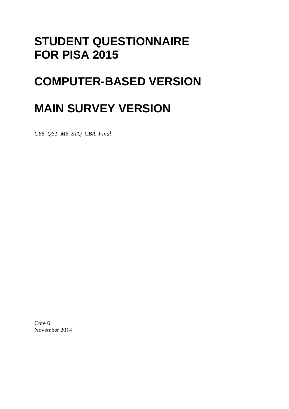# **STUDENT QUESTIONNAIRE FOR PISA 2015**

# **COMPUTER-BASED VERSION**

# **MAIN SURVEY VERSION**

*CY6\_QST\_MS\_STQ\_CBA\_Final* 

Core 6 November 2014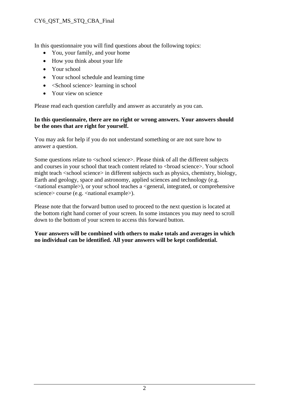#### CY6\_QST\_MS\_STQ\_CBA\_Final

In this questionnaire you will find questions about the following topics:

- You, your family, and your home
- How you think about your life
- Your school
- Your school schedule and learning time
- $\bullet \quad$  <School science > learning in school
- Your view on science

Please read each question carefully and answer as accurately as you can.

#### **In this questionnaire, there are no right or wrong answers. Your answers should be the ones that are right for yourself.**

You may ask for help if you do not understand something or are not sure how to answer a question.

Some questions relate to <school science>. Please think of all the different subjects and courses in your school that teach content related to <br/>broad science>. Your school might teach <school science> in different subjects such as physics, chemistry, biology, Earth and geology, space and astronomy, applied sciences and technology (e.g. <national example>), or your school teaches a <general, integrated, or comprehensive science> course (e.g. <national example>).

Please note that the forward button used to proceed to the next question is located at the bottom right hand corner of your screen. In some instances you may need to scroll down to the bottom of your screen to access this forward button.

**Your answers will be combined with others to make totals and averages in which no individual can be identified. All your answers will be kept confidential.**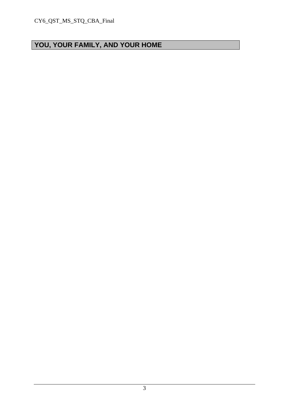# **YOU, YOUR FAMILY, AND YOUR HOME**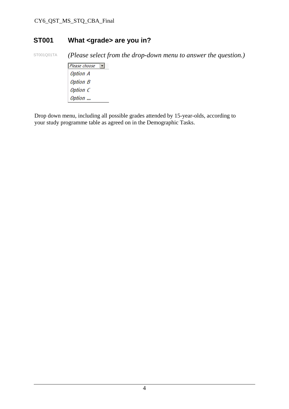### **ST001 What <grade> are you in?**

ST001Q01TA *(Please select from the drop-down menu to answer the question.)* 

 $P$ lease choose **Option A Option B** Option C Option ...

Drop down menu, including all possible grades attended by 15-year-olds, according to your study programme table as agreed on in the Demographic Tasks.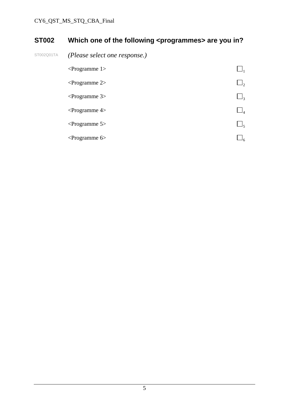# **ST002** Which one of the following <programmes> are you in?

ST002Q01TA *(Please select one response.)* 

| $\leq$ Programme 1> |          |
|---------------------|----------|
| $\leq$ Programme 2> | $J_2$    |
| $\leq$ Programme 3> | Jζ       |
| $\leq$ Programme 4> | $\Box_4$ |
| $\leq$ Programme 5> | J٢       |
| $\leq$ Programme 6> |          |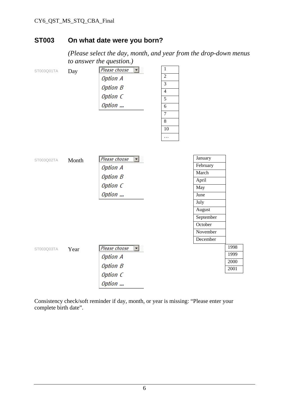#### CY6\_QST\_MS\_STQ\_CBA\_Final

#### **ST003 On what date were you born?**

 *(Please select the day, month, and year from the drop-down menus to answer the question.)* 

| ST003Q01TA | Day   | Please choose<br><b>Option A</b><br><b>Option B</b><br>Option C<br>Option       | $\mathbf{1}$<br>$\overline{2}$<br>$\overline{3}$<br>$\overline{4}$<br>5<br>$\overline{6}$<br>$\boldsymbol{7}$<br>$\overline{8}$<br>10 |                                                              |                              |
|------------|-------|---------------------------------------------------------------------------------|---------------------------------------------------------------------------------------------------------------------------------------|--------------------------------------------------------------|------------------------------|
| ST003Q02TA | Month | Please choose<br>圖象<br><b>Option A</b><br><b>Option B</b><br>Option C<br>Option | $\ldots$                                                                                                                              | January<br>February<br>March<br>April<br>May<br>June<br>July |                              |
| ST003Q03TA | Year  | Please choose<br><b>Option A</b><br><b>Option B</b><br>Option C<br>Option       |                                                                                                                                       | August<br>September<br>October<br>November<br>December       | 1998<br>1999<br>2000<br>2001 |

Consistency check/soft reminder if day, month, or year is missing: "Please enter your complete birth date".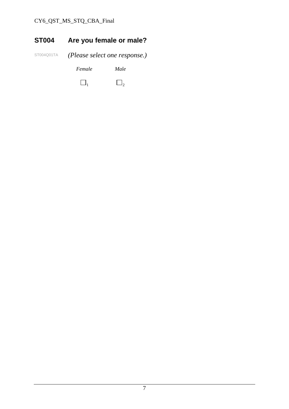### CY6\_QST\_MS\_STQ\_CBA\_Final

# **ST004 Are you female or male?**

ST004Q01TA *(Please select one response.)* 

 *Female Male* 

 $\Box_1$   $\Box_2$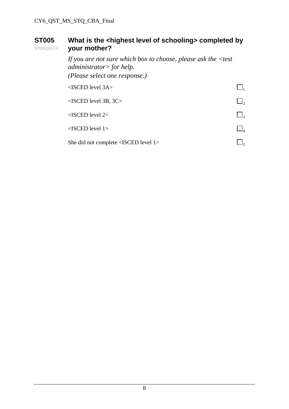#### **ST005**  ST005Q01TA What is the <highest level of schooling> completed by **your mother?**

 *If you are not sure which box to choose, please ask the <test administrator> for help. (Please select one response.)*   $\triangle$ ISCED level 3A $>$  $\triangle$ ISCED level 3B, 3C>  $\Box$ <sub>2</sub>  $\triangle$ ISCED level 2>  $\Box$ <sub>3</sub>  $\leq$ ISCED level 1>  $\Box$ <sub>4</sub> She did not complete <ISCED level 1>  $\Box$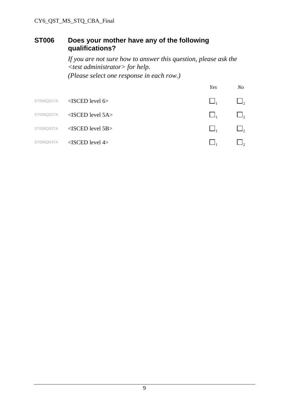#### **ST006 Does your mother have any of the following qualifications?**

 *If you are not sure how to answer this question, please ask the <test administrator> for help. (Please select one response in each row.)* 

|            |                        | Yes | No                  |
|------------|------------------------|-----|---------------------|
| ST006Q01TA | $<$ ISCED level 6>     |     | $\Box$              |
| ST006Q02TA | $<$ ISCED level 5A $>$ |     | $\Box$ ,            |
| ST006Q03TA | $<$ ISCED level 5B $>$ |     | $\Box$ <sub>2</sub> |
| ST006Q04TA | $<$ ISCED level 4>     |     |                     |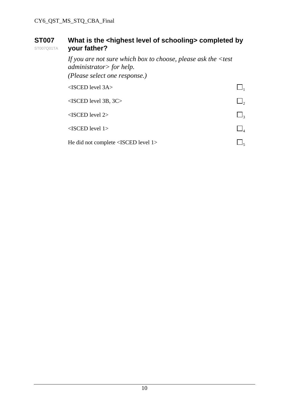#### **ST007**  ST007Q01TA What is the <highest level of schooling> completed by **your father?**

 *If you are not sure which box to choose, please ask the <test administrator> for help. (Please select one response.)*   $\triangle$ ISCED level 3A $>$  $\triangle$ ISCED level 3B, 3C>  $\Box$ <sub>2</sub>  $\triangle$ ISCED level 2>  $\Box$ <sub>3</sub>  $\leq$ ISCED level 1>  $\Box$ <sub>4</sub> He did not complete <ISCED level 1>  $\Box$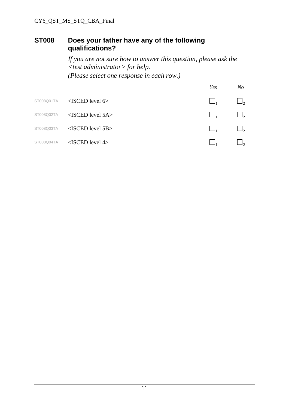#### **ST008 Does your father have any of the following qualifications?**

 *If you are not sure how to answer this question, please ask the <test administrator> for help. (Please select one response in each row.)* 

|            |                        | Yes | No       |
|------------|------------------------|-----|----------|
| ST008Q01TA | $<$ ISCED level 6>     |     | $\Box$   |
| ST008Q02TA | $<$ ISCED level 5A $>$ |     | $\Box$ , |
| ST008Q03TA | $<$ ISCED level 5B $>$ |     | $\Box$   |
| ST008Q04TA | $<$ ISCED level 4>     |     | $J_2$    |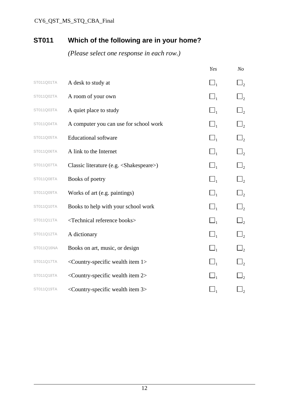# **ST011 Which of the following are in your home?**

|            |                                                              | Yes            | N <sub>O</sub>      |
|------------|--------------------------------------------------------------|----------------|---------------------|
| ST011Q01TA | A desk to study at                                           | $\Box_1$       | $\Box$ <sub>2</sub> |
| ST011Q02TA | A room of your own                                           | $\Box_1$       | $\Box$              |
| ST011Q03TA | A quiet place to study                                       | $\square_{_1}$ | $\Box$ <sub>2</sub> |
| ST011Q04TA | A computer you can use for school work                       | $\Box_1$       | $\Box_2$            |
| ST011Q05TA | <b>Educational software</b>                                  | $\Box_1$       | $\Box$              |
| ST011Q06TA | A link to the Internet                                       | $\Box_1$       | $\Box$              |
| ST011Q07TA | Classic literature (e.g. <shakespeare>)</shakespeare>        | $\square_{_1}$ | $\Box_2$            |
| ST011Q08TA | Books of poetry                                              | $\Box_1$       | $\Box$ <sub>2</sub> |
| ST011Q09TA | Works of art (e.g. paintings)                                | $\Box_1$       | $\Box$ <sub>2</sub> |
| ST011Q10TA | Books to help with your school work                          | $\Box_1$       | $\mathbf{I}_2$      |
| ST011Q11TA | <technical books="" reference=""></technical>                | $\Box_1$       | $\Box$ <sub>2</sub> |
| ST011Q12TA | A dictionary                                                 | $\Box_1$       | $\Box$ <sub>2</sub> |
| ST011Q16NA | Books on art, music, or design                               | $\Box_1$       | $\Box$              |
| ST011Q17TA | <country-specific 1="" item="" wealth=""></country-specific> | $\Box_1$       | $\mathbf{I}_{2}$    |
| ST011Q18TA | <country-specific 2="" item="" wealth=""></country-specific> | $\Box_1$       | $\Box$              |
| ST011Q19TA | <country-specific 3="" item="" wealth=""></country-specific> |                | $\sqcup_2$          |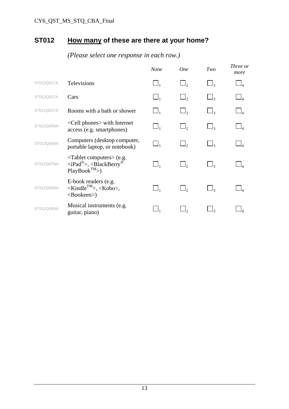# **ST012 How many of these are there at your home?**

|            |                                                                                                    | <b>None</b> | <b>One</b> | Two                 | Three or<br>more |
|------------|----------------------------------------------------------------------------------------------------|-------------|------------|---------------------|------------------|
| ST012Q01TA | Televisions                                                                                        | $\Box_1$    | $\Box$ ,   | $\Box$ 3            |                  |
| ST012Q02TA | Cars                                                                                               | $\Box_1$    | $\Box$     | $\mathbf{I}_3$      |                  |
| ST012Q03TA | Rooms with a bath or shower                                                                        | $\Box_1$    | $\Box$     | $\Box$ 3            |                  |
| ST012Q05NA | <cell phones=""> with Internet<br/>access (e.g. smartphones)</cell>                                |             | $\Box$     | $\mathsf{I}_3$      |                  |
| ST012Q06NA | Computers (desktop computer,<br>portable laptop, or notebook)                                      | $\Box_1$    | $\Box$     | $\Box$ 3            |                  |
| ST012Q07NA | $\langle$ Tablet computers $>$ (e.g.<br>$\langle$ iPad®>, $\langle$ BlackBerry®<br>$PlayBook^{TM}$ | $\Box_1$    | $\Box$ ,   |                     |                  |
| ST012Q08NA | E-book readers (e.g.<br>$\langle$ Kindle <sup>TM</sup> >, $\langle$ Kobo>,<br><bookeen>)</bookeen> | $\Box_1$    |            | $\Box$ <sub>3</sub> |                  |
| ST012Q09NA | Musical instruments (e.g.<br>guitar, piano)                                                        |             |            |                     |                  |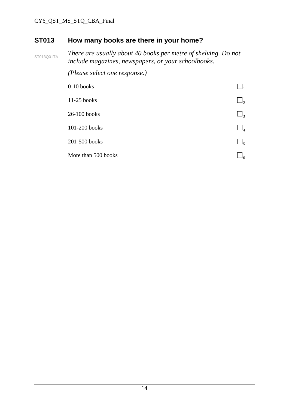### **ST013 How many books are there in your home?**

ST013Q01TA *There are usually about 40 books per metre of shelving. Do not include magazines, newspapers, or your schoolbooks.* 

 *(Please select one response.)* 

| $0-10$ books        |                     |
|---------------------|---------------------|
| 11-25 books         | $\Box_2$            |
| 26-100 books        | $\Box$ <sub>3</sub> |
| 101-200 books       | $\Box_4$            |
| 201-500 books       | $\Box_5$            |
| More than 500 books | ۹۶                  |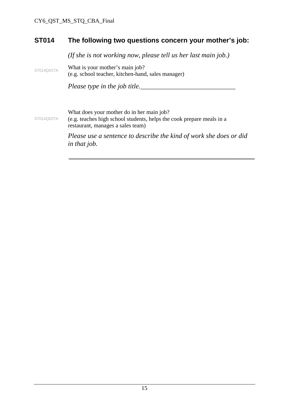#### **ST014 The following two questions concern your mother's job:**

 *(If she is not working now, please tell us her last main job.)* 

ST014Q01TA What is your mother's main job? (e.g. school teacher, kitchen-hand, sales manager)

*Please type in the job title.\_\_\_\_\_\_\_\_\_\_\_\_\_\_\_\_\_\_\_\_\_\_\_\_\_\_\_\_* 

What does your mother do in her main job?

ST014Q02TA (e.g. teaches high school students, helps the cook prepare meals in a restaurant, manages a sales team)

> *Please use a sentence to describe the kind of work she does or did in that job.*

\_\_\_\_\_\_\_\_\_\_\_\_\_\_\_\_\_\_\_\_\_\_\_\_\_\_\_\_\_\_\_\_\_\_\_\_\_\_\_\_\_\_\_\_\_\_\_\_\_\_\_\_\_\_\_\_\_\_\_\_\_\_\_\_\_\_\_\_\_\_\_\_\_\_\_\_\_\_\_\_\_\_\_\_\_\_\_\_\_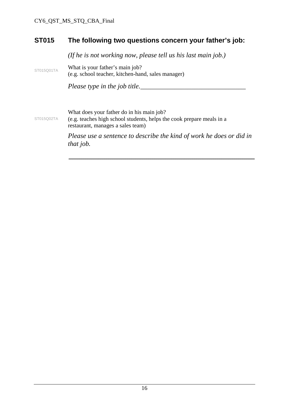#### **ST015 The following two questions concern your father's job:**

*(If he is not working now, please tell us his last main job.)* 

ST015Q01TA What is your father's main job? (e.g. school teacher, kitchen-hand, sales manager)

*Please type in the job title.\_\_\_\_\_\_\_\_\_\_\_\_\_\_\_\_\_\_\_\_\_\_\_\_\_\_\_\_\_\_\_* 

What does your father do in his main job?

ST015Q02TA (e.g. teaches high school students, helps the cook prepare meals in a restaurant, manages a sales team)

> *Please use a sentence to describe the kind of work he does or did in that job.*

\_\_\_\_\_\_\_\_\_\_\_\_\_\_\_\_\_\_\_\_\_\_\_\_\_\_\_\_\_\_\_\_\_\_\_\_\_\_\_\_\_\_\_\_\_\_\_\_\_\_\_\_\_\_\_\_\_\_\_\_\_\_\_\_\_\_\_\_\_\_\_\_\_\_\_\_\_\_\_\_\_\_\_\_\_\_\_\_\_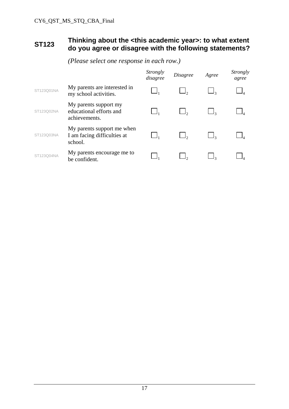#### **ST123 Thinking about the <this academic year>: to what extent do you agree or disagree with the following statements?**

|            |                                                                      | Strongly<br>disagree | <i>Disagree</i> | Agree | <i>Strongly</i><br>agree |
|------------|----------------------------------------------------------------------|----------------------|-----------------|-------|--------------------------|
| ST123Q01NA | My parents are interested in<br>my school activities.                |                      |                 |       |                          |
| ST123Q02NA | My parents support my<br>educational efforts and<br>achievements.    |                      |                 |       |                          |
| ST123Q03NA | My parents support me when<br>I am facing difficulties at<br>school. |                      |                 |       |                          |
| ST123Q04NA | My parents encourage me to<br>be confident.                          |                      |                 |       |                          |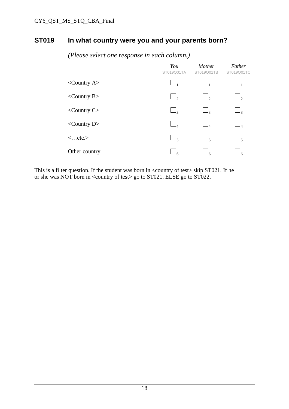#### **ST019 In what country were you and your parents born?**

|                         | You<br>ST019Q01TA   | Mother<br>ST019Q01TB | Father<br>ST019Q01TC |
|-------------------------|---------------------|----------------------|----------------------|
| $\langle$ Country A $>$ | $\Box_1$            | $\Box_1$             | $\Box_1$             |
| $\langle$ Country B $>$ | $\Box$              | $\Box$ ,             | $\Box$ ,             |
| $<$ Country C $>$       | $\Box$ <sub>3</sub> | $\Box$ 3             | $\Box_3$             |
| $\langle$ Country D $>$ | $\Box_4$            | $\Box_4$             | $\Box_4$             |
| $\langle$ etc. $>$      | $\Box_{5}$          | $\Box_{5}$           | $\Box_5$             |
| Other country           | 46                  |                      |                      |

*(Please select one response in each column.)* 

This is a filter question. If the student was born in <country of test> skip ST021. If he or she was NOT born in <country of test> go to ST021. ELSE go to ST022.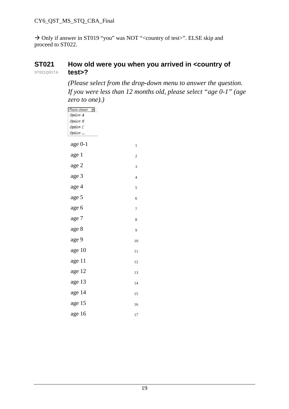→ Only if answer in ST019 "you" was NOT "<country of test>". ELSE skip and proceed to ST022.

#### **ST021 ST021Q01TA How old were you when you arrived in <country of test>?**

*(Please select from the drop-down menu to answer the question. If you were less than 12 months old, please select "age 0-1" (age zero to one).)* 

| Please choose <b>F</b> |                         |
|------------------------|-------------------------|
| <b>Option A</b>        |                         |
| <b>Option B</b>        |                         |
| Option C               |                         |
| Option                 |                         |
| age 0-1                | $\mathbf{1}$            |
| age 1                  | 2                       |
| age 2                  | 3                       |
| age 3                  | $\overline{\mathbf{4}}$ |
| age 4                  | 5                       |
| age 5                  | 6                       |
| age 6                  | 7                       |
| age 7                  | 8                       |
| age 8                  | 9                       |
| age 9                  | 10                      |
| age 10                 | 11                      |
| age 11                 | 12                      |
| age 12                 | 13                      |
| age 13                 | 14                      |
| age 14                 | 15                      |
| age 15                 | 16                      |
| age 16                 | 17                      |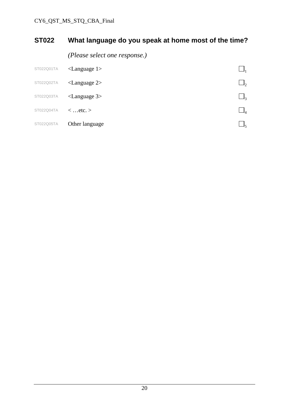# **ST022 What language do you speak at home most of the time?**

*(Please select one response.)* 

| ST022Q01TA | $\langle$ Language 1> |    |
|------------|-----------------------|----|
| ST022Q02TA | $\langle$ Language 2> | Jゥ |
| ST022Q03TA | $\langle$ Language 3> | ┙╕ |
| ST022Q04TA | $\langle$ etc. $>$    |    |
| ST022Q05TA | Other language        |    |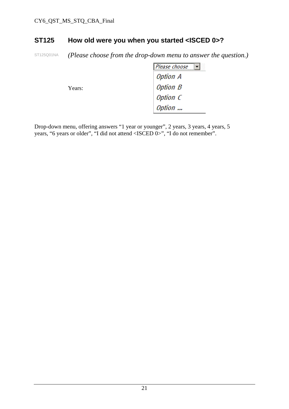#### **ST125 How old were you when you started <ISCED 0>?**

ST125Q01NA *(Please choose from the drop-down menu to answer the question.)* 

|        | Please choose<br><b>IM</b> |
|--------|----------------------------|
| Years: | <b>Option A</b>            |
|        | <b>Option B</b>            |
|        | Option C                   |
|        | Option                     |

Drop-down menu, offering answers "1 year or younger", 2 years, 3 years, 4 years, 5 years, "6 years or older", "I did not attend <ISCED 0>", "I do not remember".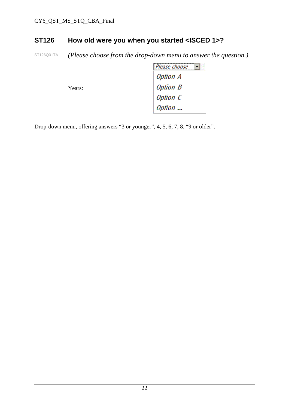### **ST126 How old were you when you started <ISCED 1>?**

ST126Q01TA *(Please choose from the drop-down menu to answer the question.)* 

|        | Please choose   |
|--------|-----------------|
|        | Option A        |
| Years: | <b>Option B</b> |
|        | Option C        |
|        | Option          |

Drop-down menu, offering answers "3 or younger", 4, 5, 6, 7, 8, "9 or older".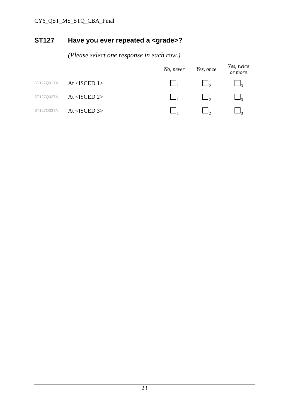# **ST127 Have you ever repeated a <grade>?**

|            |                 | No, never | Yes, once | Yes, twice<br>or more |
|------------|-----------------|-----------|-----------|-----------------------|
| ST127Q01TA | $At <$ ISCED 1> |           | $\Box$    | $\mathsf{I}_2$        |
| ST127Q02TA | At $<$ ISCED 2> |           |           |                       |
| ST127Q03TA | At $<$ ISCED 3> |           |           |                       |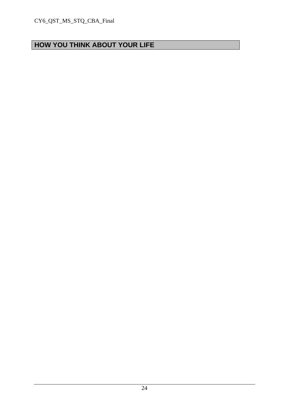# **HOW YOU THINK ABOUT YOUR LIFE**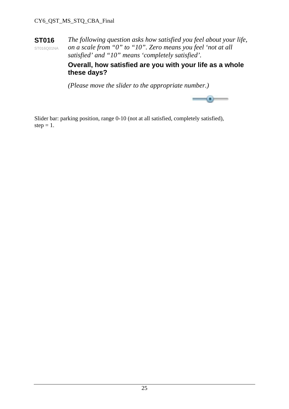**ST016**  ST016Q01NA *The following question asks how satisfied you feel about your life, on a scale from "0" to "10". Zero means you feel 'not at all satisfied' and "10" means 'completely satisfied'.* 

> **Overall, how satisfied are you with your life as a whole these days?**

*(Please move the slider to the appropriate number.)* 



Slider bar: parking position, range 0-10 (not at all satisfied, completely satisfied), step  $= 1$ .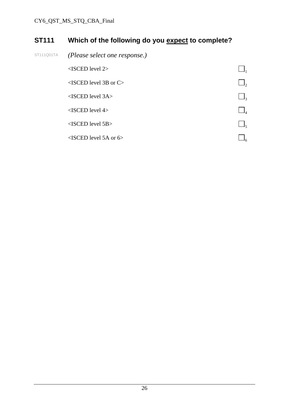# **ST111 Which of the following do you expect to complete?**

ST111Q01TA *(Please select one response.)* 

| $<$ ISCED level 2>             |    |
|--------------------------------|----|
| $\leq$ ISCED level 3B or C $>$ |    |
| $<$ ISCED level 3A $>$         | J3 |
| $<$ ISCED level 4>             |    |
| $<$ ISCED level 5B $>$         |    |
| $\leq$ ISCED level 5A or 6>    |    |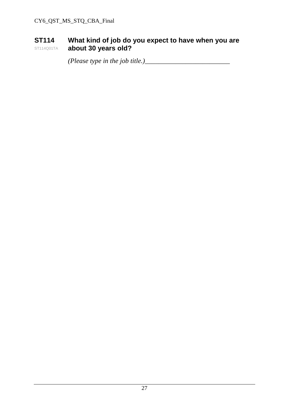#### **ST114**  ST114Q01TA **What kind of job do you expect to have when you are about 30 years old?**

 *(Please type in the job title.)\_\_\_\_\_\_\_\_\_\_\_\_\_\_\_\_\_\_\_\_\_\_\_\_\_*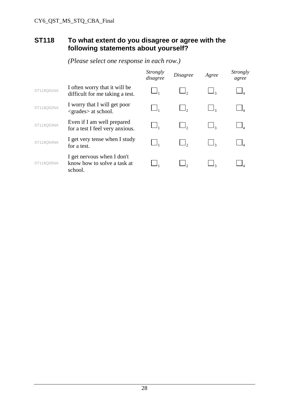#### **ST118 To what extent do you disagree or agree with the following statements about yourself?**

|            |                                                                      | <i>Strongly</i><br>disagree | <i>Disagree</i> | Agree | <i>Strongly</i><br>agree |
|------------|----------------------------------------------------------------------|-----------------------------|-----------------|-------|--------------------------|
| ST118Q01NA | I often worry that it will be<br>difficult for me taking a test.     |                             |                 |       |                          |
| ST118Q02NA | I worry that I will get poor<br><grades> at school.</grades>         |                             |                 |       |                          |
| ST118Q03NA | Even if I am well prepared<br>for a test I feel very anxious.        |                             |                 |       |                          |
| ST118Q04NA | I get very tense when I study<br>for a test.                         |                             |                 |       |                          |
| ST118Q05NA | I get nervous when I don't<br>know how to solve a task at<br>school. |                             |                 |       |                          |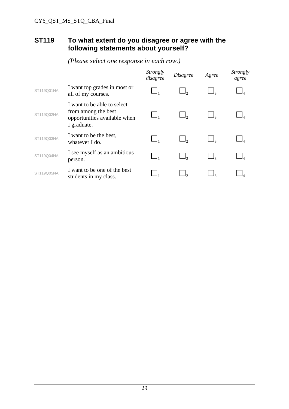#### **ST119 To what extent do you disagree or agree with the following statements about yourself?**

|            |                                                                                                   | <i>Strongly</i><br>disagree | <i>Disagree</i> | Agree | <i>Strongly</i><br>agree |
|------------|---------------------------------------------------------------------------------------------------|-----------------------------|-----------------|-------|--------------------------|
| ST119Q01NA | I want top grades in most or<br>all of my courses.                                                |                             |                 |       |                          |
| ST119Q02NA | I want to be able to select<br>from among the best<br>opportunities available when<br>I graduate. |                             |                 |       |                          |
| ST119Q03NA | I want to be the best,<br>whatever I do.                                                          |                             |                 |       |                          |
| ST119Q04NA | I see myself as an ambitious<br>person.                                                           |                             |                 |       |                          |
| ST119Q05NA | I want to be one of the best<br>students in my class.                                             |                             |                 |       |                          |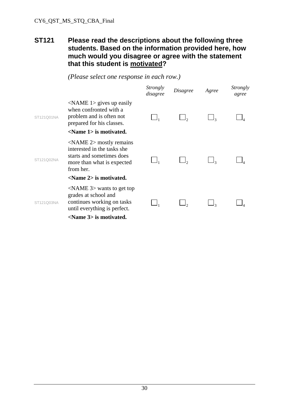#### **ST121 Please read the descriptions about the following three students. Based on the information provided here, how much would you disagree or agree with the statement that this student is motivated?**

 *(Please select one response in each row.)* 

|            |                                                                                                                                                            | Strongly<br>disagree | Disagree | Agree | Strongly<br>agree |
|------------|------------------------------------------------------------------------------------------------------------------------------------------------------------|----------------------|----------|-------|-------------------|
| ST121Q01NA | $\triangle$ NAME 1> gives up easily<br>when confronted with a<br>problem and is often not<br>prepared for his classes.<br><name 1=""> is motivated.</name> |                      |          |       |                   |
| ST121Q02NA | $\langle$ NAME 2 $>$ mostly remains<br>interested in the tasks she<br>starts and sometimes does<br>more than what is expected<br>from her.                 |                      |          |       |                   |
|            | $\le$ Name 2> is motivated.                                                                                                                                |                      |          |       |                   |
| ST121Q03NA | $\triangle$ NAME 3> wants to get top<br>grades at school and<br>continues working on tasks<br>until everything is perfect.                                 |                      |          |       |                   |
|            | <name 3=""> is motivated.</name>                                                                                                                           |                      |          |       |                   |

30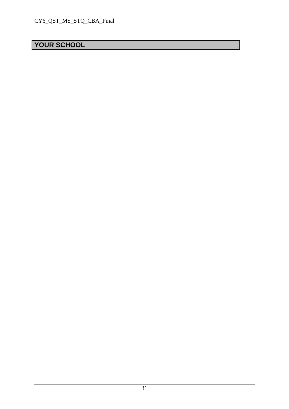# **YOUR SCHOOL**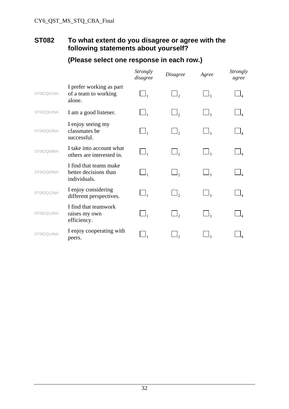### **ST082 To what extent do you disagree or agree with the following statements about yourself?**

|            |                                                                 | <i>Strongly</i><br>disagree | <b>Disagree</b> | Agree               | Strongly<br>agree |
|------------|-----------------------------------------------------------------|-----------------------------|-----------------|---------------------|-------------------|
| ST082Q01NA | I prefer working as part<br>of a team to working<br>alone.      | $\Box_1$                    |                 |                     |                   |
| ST082Q02NA | I am a good listener.                                           | $\Box_1$                    | $\Box$ ,        | $\Box_3$            | $\Box_4$          |
| ST082Q03NA | I enjoy seeing my<br>classmates be<br>successful.               | $\Box_1$                    | $\Box$ ,        | $\Box_3$            |                   |
| ST082Q08NA | I take into account what<br>others are interested in.           | $\Box_1$                    | $\Box$ ,        | $\Box$ 3            |                   |
| ST082Q09NA | I find that teams make<br>better decisions than<br>individuals. | $\Box_1$                    | $\Box$ ,        | $\Box$              | $\Box_4$          |
| ST082Q12NA | I enjoy considering<br>different perspectives.                  | $\Box_1$                    | $\Box$ ,        | $\Box$ <sub>3</sub> |                   |
| ST082Q13NA | I find that teamwork<br>raises my own<br>efficiency.            | $\Box_1$                    | $\Box$ ,        | $\Box$ 3            |                   |
| ST082Q14NA | I enjoy cooperating with<br>peers.                              |                             |                 | ١ą                  |                   |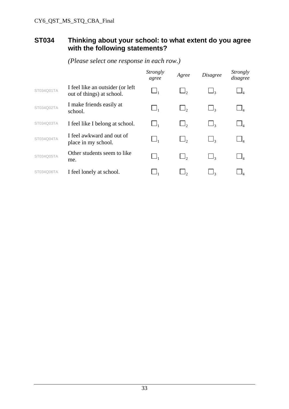#### **ST034 Thinking about your school: to what extent do you agree with the following statements?**

|            |                                                                | Strongly<br>agree                | Agree    | <b>Disagree</b>     | <i>Strongly</i><br>disagree |
|------------|----------------------------------------------------------------|----------------------------------|----------|---------------------|-----------------------------|
| ST034Q01TA | I feel like an outsider (or left)<br>out of things) at school. |                                  | $\Box$   |                     |                             |
| ST034Q02TA | I make friends easily at<br>school.                            | $\Box_1$                         | $\Box$ , | $\Box_3$            |                             |
| ST034Q03TA | I feel like I belong at school.                                | $\cup$ <sub>1</sub>              | $\Box$ , | $\Box_3$            |                             |
| ST034Q04TA | I feel awkward and out of<br>place in my school.               | $\Box_1$                         | $\Box$ , | $\Box$ <sub>3</sub> | $\Box$ <sub>A</sub>         |
| ST034Q05TA | Other students seem to like<br>me.                             | $\sqcup_{\scriptscriptstyle{1}}$ | $\Box$ , | $\Box_3$            |                             |
| ST034O06TA | I feel lonely at school.                                       |                                  |          | – 12                |                             |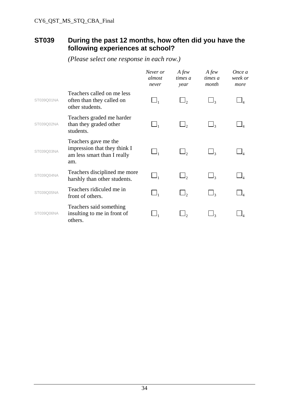#### **ST039 During the past 12 months, how often did you have the following experiences at school?**

|            |                                                                                            | Never or<br>almost<br>never | $A$ few<br>times a<br>year | $A$ few<br>times a<br>month | Once a<br>week or<br>more |
|------------|--------------------------------------------------------------------------------------------|-----------------------------|----------------------------|-----------------------------|---------------------------|
| ST039Q01NA | Teachers called on me less<br>often than they called on<br>other students.                 | $\Box_1$                    |                            | $\Box$ <sub>3</sub>         |                           |
| ST039Q02NA | Teachers graded me harder<br>than they graded other<br>students.                           |                             |                            |                             |                           |
| ST039Q03NA | Teachers gave me the<br>impression that they think I<br>am less smart than I really<br>am. | $\Box_1$                    |                            | $\Box$ <sub>3</sub>         |                           |
| ST039Q04NA | Teachers disciplined me more<br>harshly than other students.                               | $\Box_1$                    | $\Box$ ,                   | $\Box$ <sub>3</sub>         |                           |
| ST039Q05NA | Teachers ridiculed me in<br>front of others.                                               | $\Box_1$                    |                            | $\Box$ <sub>3</sub>         |                           |
| ST039Q06NA | Teachers said something<br>insulting to me in front of<br>others.                          |                             |                            | $\Box$ <sub>3</sub>         |                           |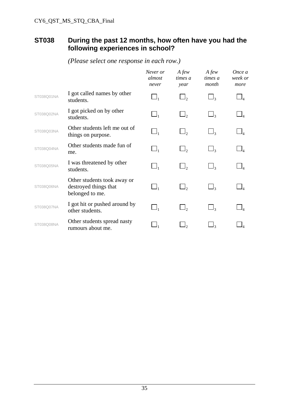#### **ST038 During the past 12 months, how often have you had the following experiences in school?**

|            |                                                                         | Never or<br>almost<br>never    | A few<br>times a<br>year | A few<br>times a<br>month | Once a<br>week or<br>more |
|------------|-------------------------------------------------------------------------|--------------------------------|--------------------------|---------------------------|---------------------------|
| ST038Q01NA | I got called names by other<br>students.                                | $\Box_1$                       | $\Box_2$                 |                           |                           |
| ST038Q02NA | I got picked on by other<br>students.                                   | $\Box_1$                       | $\Box_2$                 | $\Box$ 3                  |                           |
| ST038Q03NA | Other students left me out of<br>things on purpose.                     | $\Box_{\scriptscriptstyle{1}}$ | $\Box$ ,                 | $\Box$ <sub>3</sub>       |                           |
| ST038Q04NA | Other students made fun of<br>me.                                       | $\Box_1$                       | $\Box$ ,                 | $\Box$ <sub>3</sub>       |                           |
| ST038Q05NA | I was threatened by other<br>students.                                  | $\Box_1$                       | $\Box$ ,                 | $\Box_3$                  |                           |
| ST038Q06NA | Other students took away or<br>destroyed things that<br>belonged to me. | $\Box_1$                       | $\Box_2$                 | $\Box$ <sub>3</sub>       |                           |
| ST038Q07NA | I got hit or pushed around by<br>other students.                        | $\Box_1$                       | $\Box_2$                 | $\Box_{3}$                |                           |
| ST038Q08NA | Other students spread nasty<br>rumours about me.                        |                                |                          |                           |                           |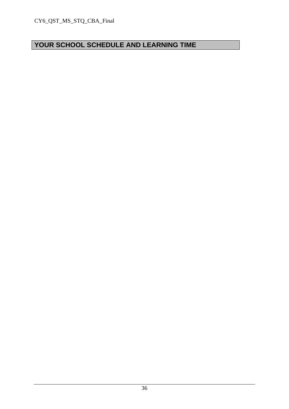# **YOUR SCHOOL SCHEDULE AND LEARNING TIME**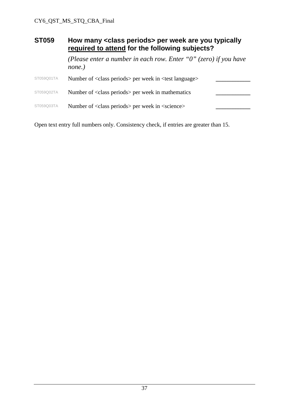| <b>ST059</b> | How many <class periods=""> per week are you typically<br/>required to attend for the following subjects?</class> |  |  |
|--------------|-------------------------------------------------------------------------------------------------------------------|--|--|
|              | (Please enter a number in each row. Enter " $0$ " (zero) if you have<br>none.)                                    |  |  |
| ST059Q01TA   | Number of <class periods=""> per week in <test language=""></test></class>                                        |  |  |
| ST059Q02TA   | Number of <class periods=""> per week in mathematics</class>                                                      |  |  |
| ST059Q03TA   | Number of <class periods=""> per week in <science></science></class>                                              |  |  |

Open text entry full numbers only. Consistency check, if entries are greater than 15.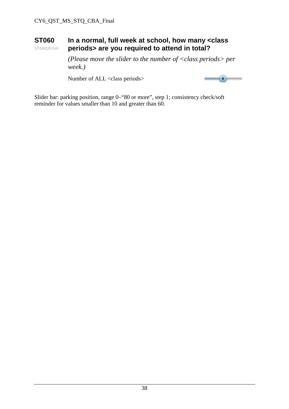#### **ST060**  ST060Q01NA **In a normal, full week at school, how many <class periods> are you required to attend in total?**

 *(Please move the slider to the number of <class periods> per week.)* 

Number of ALL <class periods>



Slider bar: parking position, range 0–"80 or more", step 1; consistency check/soft reminder for values smaller than 10 and greater than 60.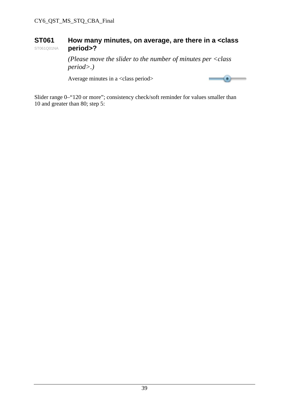#### **ST061**  ST061Q01NA **How many minutes, on average, are there in a <class period>?**

 *(Please move the slider to the number of minutes per <class period>.)* 

Average minutes in a <class period>



Slider range 0–"120 or more"; consistency check/soft reminder for values smaller than 10 and greater than 80; step 5: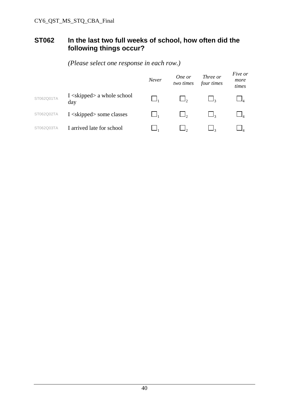#### **ST062 In the last two full weeks of school, how often did the following things occur?**

|            |                                              | Never | One or<br>two times | Three or<br>four times | Five or<br>more<br>times |
|------------|----------------------------------------------|-------|---------------------|------------------------|--------------------------|
| ST062Q01TA | I <skipped> a whole school<br/>day</skipped> |       |                     |                        |                          |
| ST062Q02TA | $I$ <skipped> some classes</skipped>         |       |                     |                        |                          |
| ST062Q03TA | I arrived late for school                    |       |                     |                        |                          |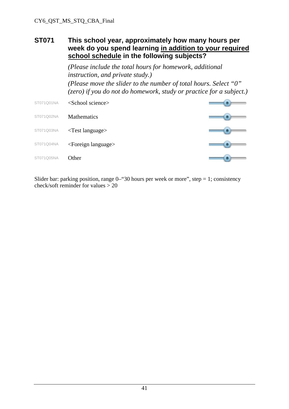#### **ST071 This school year, approximately how many hours per week do you spend learning in addition to your required school schedule in the following subjects?**

*(Please include the total hours for homework, additional instruction, and private study.) (Please move the slider to the number of total hours. Select "0" (zero) if you do not do homework, study or practice for a subject.)* 

ST071Q01NA <School science> ST071Q02NA Mathematics ST071Q03NA <Test language> ST071Q04NA <Foreign language> ST071Q05NA Other

Slider bar: parking position, range  $0$ —"30 hours per week or more", step = 1; consistency check/soft reminder for values  $> 20$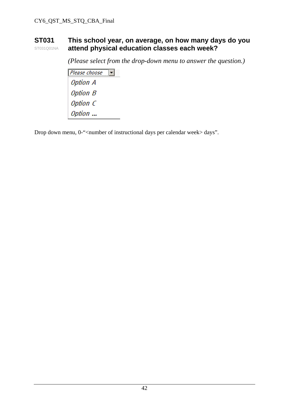#### **ST031**  ST031Q01NA **This school year, on average, on how many days do you attend physical education classes each week?**

*(Please select from the drop-down menu to answer the question.)* 

 $P$ lease choose **Option A Option B** Option C Option ...

Drop down menu, 0-"<number of instructional days per calendar week> days".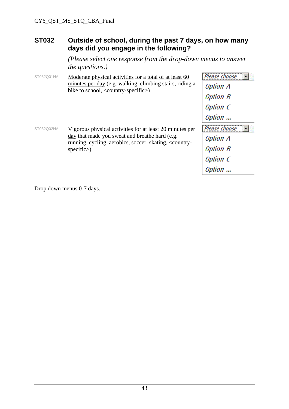#### **ST032 Outside of school, during the past 7 days, on how many days did you engage in the following?**

*(Please select one response from the drop-down menus to answer the questions.)* 

| Moderate physical activities for a total of at least 60                                                           | Please choose                                                                                                                         |
|-------------------------------------------------------------------------------------------------------------------|---------------------------------------------------------------------------------------------------------------------------------------|
| minutes per day (e.g. walking, climbing stairs, riding a                                                          | <b>Option A</b>                                                                                                                       |
|                                                                                                                   | <b>Option B</b>                                                                                                                       |
|                                                                                                                   | Option C                                                                                                                              |
|                                                                                                                   | Option                                                                                                                                |
| <u>Vigorous</u> physical activities for at least 20 minutes per<br>day that made you sweat and breathe hard (e.g. | Please choose                                                                                                                         |
|                                                                                                                   | Option A                                                                                                                              |
| specific                                                                                                          | <b>Option B</b>                                                                                                                       |
|                                                                                                                   | Option C                                                                                                                              |
|                                                                                                                   | Option                                                                                                                                |
|                                                                                                                   | bike to school, <country-specific>)<br/>running, cycling, aerobics, soccer, skating, <country-< td=""></country-<></country-specific> |

Drop down menus 0-7 days.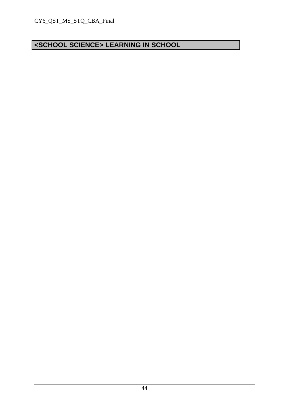# **<SCHOOL SCIENCE> LEARNING IN SCHOOL**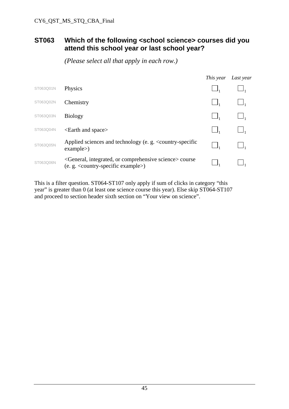#### **ST063 Which of the following <school science> courses did you attend this school year or last school year?**

 *(Please select all that apply in each row.)* 

|           |                                                                                                                             | This year | Last year |
|-----------|-----------------------------------------------------------------------------------------------------------------------------|-----------|-----------|
| ST063Q01N | Physics                                                                                                                     |           |           |
| ST063Q02N | Chemistry                                                                                                                   |           |           |
| ST063Q03N | <b>Biology</b>                                                                                                              |           |           |
| ST063Q04N | <earth and="" space=""></earth>                                                                                             |           |           |
| ST063Q05N | Applied sciences and technology (e. g. $\leq$ country-specific<br>example                                                   |           |           |
| ST063Q06N | <general, comprehensive="" integrated,="" or="" science=""> course<br/>(e. g. &lt; country-specific example&gt;)</general,> |           |           |

This is a filter question. ST064-ST107 only apply if sum of clicks in category "this year" is greater than 0 (at least one science course this year). Else skip ST064-ST107 and proceed to section header sixth section on "Your view on science".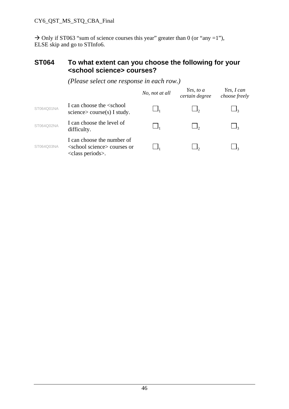$\rightarrow$  Only if ST063 "sum of science courses this year" greater than 0 (or "any =1"), ELSE skip and go to STInfo6.

#### **ST064 To what extent can you choose the following for your <school science> courses?**

|            |                                                                                                       | No, not at all | Yes, to a<br>certain degree | Yes, I can<br>choose freely |
|------------|-------------------------------------------------------------------------------------------------------|----------------|-----------------------------|-----------------------------|
| ST064Q01NA | I can choose the <school<br>science <math>\geq</math> course(s) I study.</school<br>                  |                |                             |                             |
| ST064Q02NA | I can choose the level of<br>difficulty.                                                              |                |                             |                             |
| ST064Q03NA | I can choose the number of<br><school science=""> courses or<br/><class periods="">.</class></school> |                |                             |                             |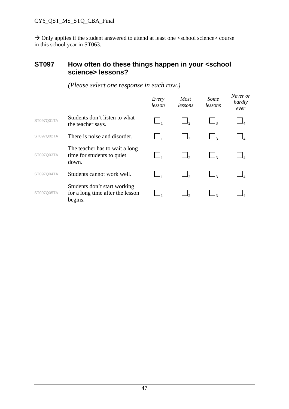#### **ST097 How often do these things happen in your <school science> lessons?**

|            |                                                                             | Every<br>lesson | <b>Most</b><br>lessons | Some<br>lessons | Never or<br>hardly<br>ever |
|------------|-----------------------------------------------------------------------------|-----------------|------------------------|-----------------|----------------------------|
| ST097Q01TA | Students don't listen to what<br>the teacher says.                          |                 |                        |                 |                            |
| ST097Q02TA | There is noise and disorder.                                                |                 |                        |                 |                            |
| ST097Q03TA | The teacher has to wait a long<br>time for students to quiet<br>down.       |                 |                        |                 |                            |
| ST097Q04TA | Students cannot work well.                                                  |                 |                        |                 |                            |
| ST097Q05TA | Students don't start working<br>for a long time after the lesson<br>begins. |                 |                        |                 |                            |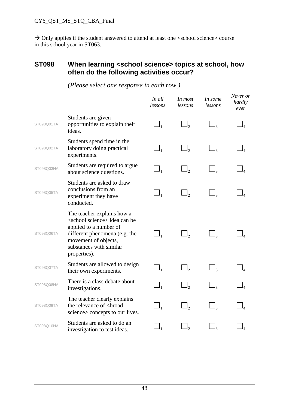#### **ST098 When learning <school science> topics at school, how often do the following activities occur?**

|            |                                                                                                                                                                                                           | In all<br>lessons              | In most<br>lessons | In some<br>lessons  | Never or<br>hardly<br>ever |
|------------|-----------------------------------------------------------------------------------------------------------------------------------------------------------------------------------------------------------|--------------------------------|--------------------|---------------------|----------------------------|
| ST098Q01TA | Students are given<br>opportunities to explain their<br>ideas.                                                                                                                                            | $\Box_1$                       |                    | $\Box$              |                            |
| ST098Q02TA | Students spend time in the<br>laboratory doing practical<br>experiments.                                                                                                                                  | $\Box_1$                       | $\Box$ ,           | $\Box_3$            |                            |
| ST098Q03NA | Students are required to argue<br>about science questions.                                                                                                                                                | $\Box_1$                       |                    | $\Box$ <sub>3</sub> |                            |
| ST098Q05TA | Students are asked to draw<br>conclusions from an<br>experiment they have<br>conducted.                                                                                                                   | $\Box_1$                       | $\Box$ ,           | $\Box$ <sub>3</sub> |                            |
| ST098Q06TA | The teacher explains how a<br><school science=""> idea can be<br/>applied to a number of<br/>different phenomena (e.g. the<br/>movement of objects,<br/>substances with similar<br/>properties).</school> | $\Box_{\scriptscriptstyle{1}}$ |                    | $\Box$              |                            |
| ST098Q07TA | Students are allowed to design<br>their own experiments.                                                                                                                                                  | $\Box_1$                       | $\Box$             | $\Box$ 3            |                            |
| ST098Q08NA | There is a class debate about<br>investigations.                                                                                                                                                          | $\Box_1$                       | $\Box$ ,           | $\Box$              |                            |
| ST098Q09TA | The teacher clearly explains<br>the relevance of<br>broad<br>science > concepts to our lives.                                                                                                             | $\Box_1$                       | $\mathsf{J}_2$     | $\Box$ 3            |                            |
| ST098Q10NA | Students are asked to do an<br>investigation to test ideas.                                                                                                                                               |                                |                    |                     |                            |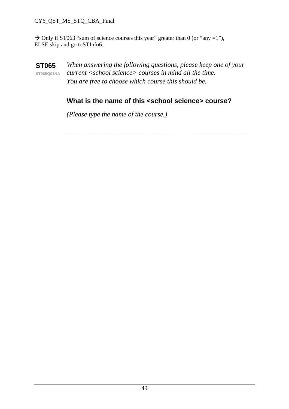#### CY6\_QST\_MS\_STQ\_CBA\_Final

 $\rightarrow$  Only if ST063 "sum of science courses this year" greater than 0 (or "any =1"), ELSE skip and go toSTInfo6.

**ST065 ST065Q01NA** *When answering the following questions, please keep one of your current <school science> courses in mind all the time. You are free to choose which course this should be.* 

#### **What is the name of this <school science> course?**

*\_\_\_\_\_\_\_\_\_\_\_\_\_\_\_\_\_\_\_\_\_\_\_\_\_\_\_\_\_\_\_\_\_\_\_\_\_\_\_\_\_\_\_\_\_\_\_\_\_\_\_\_\_\_\_\_\_\_\_\_\_\_\_\_\_\_\_\_* 

 *(Please type the name of the course.)*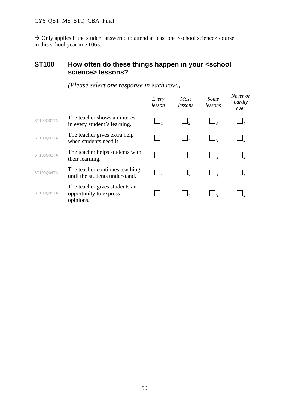#### **ST100 How often do these things happen in your <school science> lessons?**

|            |                                                                      | Every<br>lesson | <b>Most</b><br>lessons | Some<br>lessons | Never or<br>hardly<br>ever |
|------------|----------------------------------------------------------------------|-----------------|------------------------|-----------------|----------------------------|
| ST100Q01TA | The teacher shows an interest<br>in every student's learning.        |                 |                        |                 |                            |
| ST100Q02TA | The teacher gives extra help<br>when students need it.               |                 |                        |                 |                            |
| ST100Q03TA | The teacher helps students with<br>their learning.                   |                 |                        |                 |                            |
| ST100Q04TA | The teacher continues teaching<br>until the students understand.     |                 |                        |                 |                            |
| ST100Q05TA | The teacher gives students an<br>opportunity to express<br>opinions. |                 |                        |                 |                            |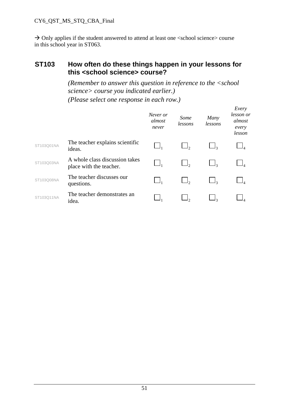#### **ST103 How often do these things happen in your lessons for this <school science> course?**

*(Remember to answer this question in reference to the <school science> course you indicated earlier.) (Please select one response in each row.)* 

|            |                                                           | Never or<br>almost<br>never | Some<br>lessons | Many<br>lessons | Every<br>lesson or<br>almost<br>every<br>lesson |
|------------|-----------------------------------------------------------|-----------------------------|-----------------|-----------------|-------------------------------------------------|
| ST103Q01NA | The teacher explains scientific<br>ideas.                 |                             |                 |                 |                                                 |
| ST103Q03NA | A whole class discussion takes<br>place with the teacher. |                             |                 |                 |                                                 |
| ST103Q08NA | The teacher discusses our<br>questions.                   |                             |                 |                 |                                                 |
| ST103Q11NA | The teacher demonstrates an<br>idea.                      |                             |                 |                 |                                                 |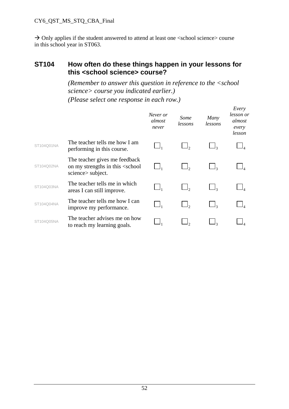#### **ST104 How often do these things happen in your lessons for this <school science> course?**

*(Remember to answer this question in reference to the <school science> course you indicated earlier.) (Please select one response in each row.)* 

|            |                                                                                                  | Never or<br>almost<br>never | Some<br>lessons | Many<br>lessons | Every<br>lesson or<br>almost<br>every<br>lesson |
|------------|--------------------------------------------------------------------------------------------------|-----------------------------|-----------------|-----------------|-------------------------------------------------|
| ST104Q01NA | The teacher tells me how I am<br>performing in this course.                                      |                             |                 |                 |                                                 |
| ST104Q02NA | The teacher gives me feedback<br>on my strengths in this <school<br>science subject.</school<br> |                             |                 |                 |                                                 |
| ST104Q03NA | The teacher tells me in which<br>areas I can still improve.                                      |                             |                 |                 |                                                 |
| ST104Q04NA | The teacher tells me how I can<br>improve my performance.                                        |                             |                 |                 |                                                 |
| ST104Q05NA | The teacher advises me on how<br>to reach my learning goals.                                     |                             |                 |                 |                                                 |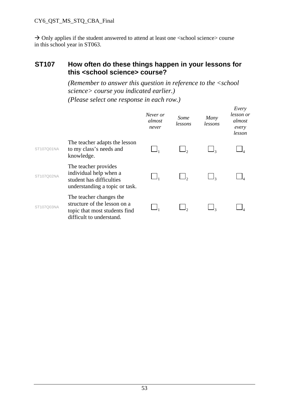#### **ST107 How often do these things happen in your lessons for this <school science> course?**

 *(Remember to answer this question in reference to the <school science> course you indicated earlier.) (Please select one response in each row.)* 

|            |                                                                                                                      | Never or<br>almost<br>never | Some<br>lessons | Many<br>lessons | Every<br>lesson or<br>almost<br>every<br>lesson |
|------------|----------------------------------------------------------------------------------------------------------------------|-----------------------------|-----------------|-----------------|-------------------------------------------------|
| ST107Q01NA | The teacher adapts the lesson<br>to my class's needs and<br>knowledge.                                               |                             |                 |                 |                                                 |
| ST107Q02NA | The teacher provides<br>individual help when a<br>student has difficulties<br>understanding a topic or task.         |                             |                 |                 |                                                 |
| ST107Q03NA | The teacher changes the<br>structure of the lesson on a<br>topic that most students find<br>difficult to understand. |                             |                 |                 |                                                 |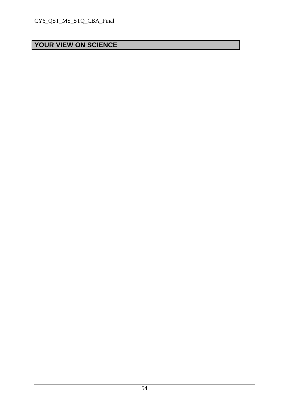# **YOUR VIEW ON SCIENCE**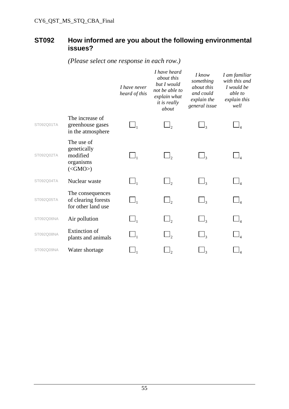#### **ST092 How informed are you about the following environmental issues?**

 *I have never heard of this I have heard about this but I would not be able to explain what it is really about I know something about this and could explain the general issue I am familiar with this and I would be able to explain this well*  ST092Q01TA The increase of greenhouse gases in the atmosphere 1  $\Box$ 2  $\Box$ 3  $\Box$ 4 ST092Q02TA The use of genetically modified organisms  $(<$ GMO $>$ ) 1  $\Box$ 2  $\Box$ 3  $\Box$ 4 ST092Q04TA **Nuclear waste**  $\Box$   $\Box$   $\Box$   $\Box$   $\Box$   $\Box$ ST092Q05TA The consequences of clearing forests for other land use 1  $\Box$ 2  $\Box$ 3  $\Box$ 4 ST092Q06NA Air pollution  $\Box$ ,  $\Box$ ,  $\Box$ ST092Q08NA Extinction of EXUNCUON OT<br>plants and animals  $\Box$   $\Box$   $\Box$   $\Box$ ST092Q09NA Water shortage  $\Box_1$   $\Box_2$   $\Box_3$   $\Box_4$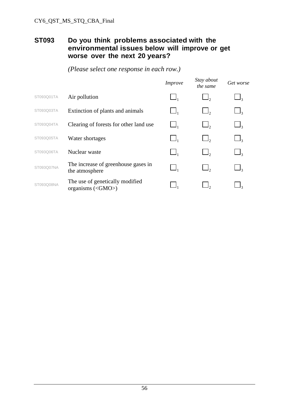#### **ST093 Do you think problems associated with the environmental issues below will improve or get worse over the next 20 years?**

|            |                                                       | <i>Improve</i> | Stay about<br>the same | Get worse           |
|------------|-------------------------------------------------------|----------------|------------------------|---------------------|
| ST093Q01TA | Air pollution                                         | $\Box_1$       |                        | $\Box$ 3            |
| ST093Q03TA | Extinction of plants and animals                      | $\Box$         | $\Box$ ,               | $\Box$ <sub>3</sub> |
| ST093Q04TA | Clearing of forests for other land use                | $\Box$         |                        | $\Box$ <sub>3</sub> |
| ST093Q05TA | Water shortages                                       | $\Box$         | $\Box$ ,               | $\Box$ <sub>3</sub> |
| ST093Q06TA | Nuclear waste                                         | $\Box$         |                        | $\Box$ <sub>3</sub> |
| ST093Q07NA | The increase of greenhouse gases in<br>the atmosphere | $\Box$         |                        | $\Box$ <sub>3</sub> |
| ST093Q08NA | The use of genetically modified<br>organisms $(GMO)$  |                |                        |                     |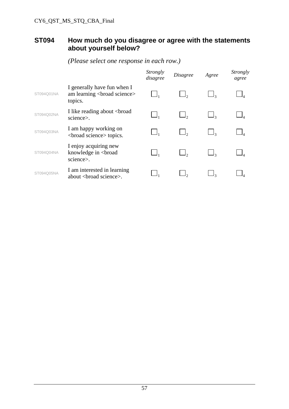### **ST094 How much do you disagree or agree with the statements about yourself below?**

|            |                                                                                                                                                                                                                                                          | Strongly<br>disagree | <i>Disagree</i> | Agree | <i>Strongly</i><br>agree |
|------------|----------------------------------------------------------------------------------------------------------------------------------------------------------------------------------------------------------------------------------------------------------|----------------------|-----------------|-------|--------------------------|
| ST094Q01NA | I generally have fun when I<br>am learning<br>broad science><br>topics.                                                                                                                                                                                  |                      |                 |       |                          |
| ST094Q02NA | I like reading about<br>broad<br>science>.                                                                                                                                                                                                               |                      |                 |       |                          |
| ST094Q03NA | I am happy working on<br><br>solution of socience <a> solution of the<br/> solution of the<br/> solution of the solution of the solution of the solution of<br/> solution of the solution of the solution of the solution of the solution of the&lt;</a> |                      |                 |       |                          |
| ST094Q04NA | I enjoy acquiring new<br>knowledge in<br>broad<br>science>.                                                                                                                                                                                              |                      |                 |       |                          |
| ST094Q05NA | I am interested in learning<br>about<br>cond science>.                                                                                                                                                                                                   |                      |                 |       |                          |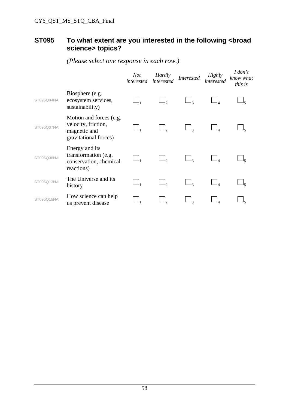### **ST095 To what extent are you interested in the following <broad science> topics?**

|            |                                                                                         | Not<br>interested | <b>Hardly</b><br>interested | <b>Interested</b>     | <b>Highly</b><br>interested | I don't<br>know what<br>this is |
|------------|-----------------------------------------------------------------------------------------|-------------------|-----------------------------|-----------------------|-----------------------------|---------------------------------|
| ST095Q04NA | Biosphere (e.g.<br>ecosystem services,<br>sustainability)                               |                   | ر ا                         | $\mathsf{l}_3$        |                             |                                 |
| ST095Q07NA | Motion and forces (e.g.<br>velocity, friction,<br>magnetic and<br>gravitational forces) |                   |                             | $\Box$ 3              |                             |                                 |
| ST095Q08NA | Energy and its<br>transformation (e.g.<br>conservation, chemical<br>reactions)          |                   |                             |                       |                             |                                 |
| ST095Q13NA | The Universe and its<br>history                                                         |                   |                             | $\sqcup$ <sub>3</sub> |                             |                                 |
| ST095Q15NA | How science can help<br>us prevent disease                                              |                   |                             | ړ]                    |                             |                                 |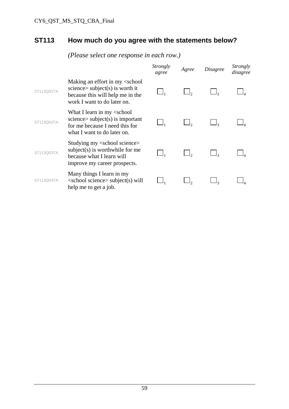# **ST113 How much do you agree with the statements below?**

|            |                                                                                                                                                                    | Strongly<br>agree | Agree | <i>Disagree</i> | Strongly<br>disagree |
|------------|--------------------------------------------------------------------------------------------------------------------------------------------------------------------|-------------------|-------|-----------------|----------------------|
| ST113Q01TA | Making an effort in my <school<br>science <math>\gt</math> subject(s) is worth it<br/>because this will help me in the<br/>work I want to do later on.</school<br> |                   |       |                 |                      |
| ST113Q02TA | What I learn in my <school<br><math>science &gt; subject(s)</math> is important<br/>for me because I need this for<br/>what I want to do later on.</school<br>     |                   |       |                 |                      |
| ST113Q03TA | Studying my <school science=""><br/><math>subject(s)</math> is worthwhile for me<br/>because what I learn will<br/>improve my career prospects.</school>           |                   |       |                 |                      |
| ST113Q04TA | Many things I learn in my<br>$\le$ school science $\ge$ subject $(s)$ will<br>help me to get a job.                                                                |                   |       |                 |                      |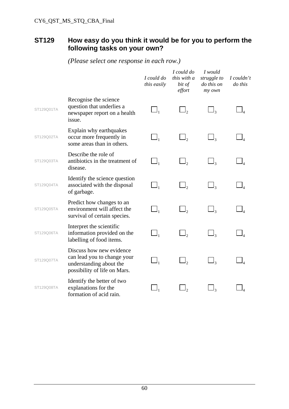#### **ST129 How easy do you think it would be for you to perform the following tasks on your own?**

 *I could do this easily I could do this with a bit of effort I would struggle to do this on my own I couldn't do this*  ST129Q01TA Recognise the science question that underlies a newspaper report on a health issue. 1  $\Box$ 2  $\Box$ 3  $\Box$ 4 ST129Q02TA Explain why earthquakes occur more frequently in some areas than in others. 1  $\Box$ 2  $\Box$ 3  $\Box$ 4 ST129Q03TA Describe the role of antibiotics in the treatment of disease. 1  $\Box$ <sub>2</sub>  $\Box$ <sub>3</sub>  $\Box$ <sub>4</sub> ST129Q04TA Identify the science question associated with the disposal of garbage.  $\Box$ ,  $\Box$ ,  $\Box$ <sub>3</sub>  $\Box$ <sub>4</sub> ST129Q05TA Predict how changes to an environment will affect the survival of certain species. 1  $\Box$ <sub>2</sub>  $\Box$ <sub>3</sub>  $\Box$ <sub>4</sub> ST129Q06TA Interpret the scientific information provided on the labelling of food items. 1  $\Box$ 2  $\Box$ 3  $\Box$ 4 ST129Q07TA Discuss how new evidence can lead you to change your understanding about the possibility of life on Mars. 1  $\Box$ 2  $\Box$ 3  $\Box$ 4 ST129Q08TA Identify the better of two explanations for the formation of acid rain. 1  $\Box$ 2  $\Box$ 3  $\Box$ 4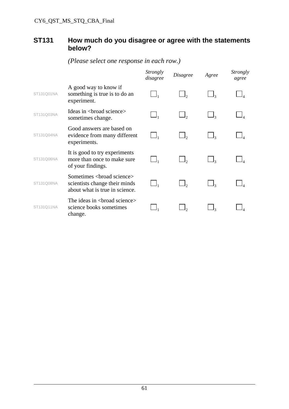#### **ST131 How much do you disagree or agree with the statements below?**

|            |                                                                                                           | <i>Strongly</i><br>disagree | <i>Disagree</i> | Agree | <i>Strongly</i><br>agree |
|------------|-----------------------------------------------------------------------------------------------------------|-----------------------------|-----------------|-------|--------------------------|
| ST131Q01NA | A good way to know if<br>something is true is to do an<br>experiment.                                     |                             |                 |       |                          |
| ST131Q03NA | Ideas in<br>broad science><br>sometimes change.                                                           | $\Box_1$                    |                 |       |                          |
| ST131Q04NA | Good answers are based on<br>evidence from many different<br>experiments.                                 | $\Box_1$                    | $\Box$ ,        |       |                          |
| ST131Q06NA | It is good to try experiments<br>more than once to make sure<br>of your findings.                         | $\Box$                      | $\Box$ ,        |       |                          |
| ST131Q08NA | Sometimes <broad science=""><br/>scientists change their minds<br/>about what is true in science.</broad> | $\Box$                      | $\Box$ ,        |       |                          |
| ST131011NA | The ideas in<br>broad science><br>science books sometimes<br>change.                                      |                             |                 |       |                          |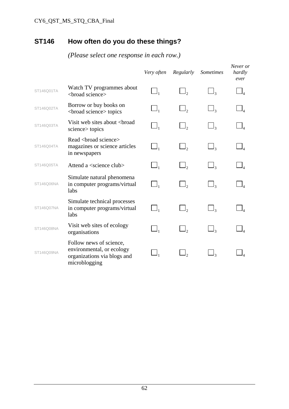# **ST146 How often do you do these things?**

|            |                                                                                                      | Very often | Regularly | Sometimes           | Never or<br>hardly<br>ever |
|------------|------------------------------------------------------------------------------------------------------|------------|-----------|---------------------|----------------------------|
| ST146Q01TA | Watch TV programmes about<br><broad science=""></broad>                                              | $\Box_1$   | $\Box$ ,  | $\Box$ <sub>3</sub> |                            |
| ST146Q02TA | Borrow or buy books on<br><br>coroad science> topics                                                 | $\Box_1$   | $\Box$ ,  | $\Box$ <sub>3</sub> |                            |
| ST146Q03TA | Visit web sites about<br>broad<br>science > topics                                                   | $\Box_1$   |           |                     |                            |
| ST146Q04TA | Read <broad science=""><br/>magazines or science articles<br/>in newspapers</broad>                  | $\Box_1$   | $\Box$ ,  | $\Box$ <sub>3</sub> |                            |
| ST146Q05TA | Attend a <science club=""></science>                                                                 | $\Box_1$   | $\Box$ ,  | $\Box$ <sub>3</sub> |                            |
| ST146Q06NA | Simulate natural phenomena<br>in computer programs/virtual<br>labs                                   | $\Box_1$   | $\Box_2$  | $\Box$ 3            |                            |
| ST146Q07NA | Simulate technical processes<br>in computer programs/virtual<br>labs                                 | $\Box_1$   | $\Box$ ,  | $\Box$ 3            |                            |
| ST146Q08NA | Visit web sites of ecology<br>organisations                                                          | $\Box_1$   | $\Box$ ,  | $\Box$ <sub>3</sub> |                            |
| ST146Q09NA | Follow news of science,<br>environmental, or ecology<br>organizations via blogs and<br>microblogging |            |           |                     |                            |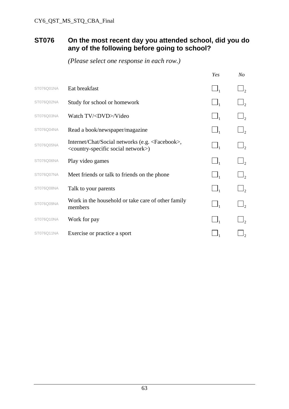#### **ST076 On the most recent day you attended school, did you do any of the following before going to school?**

|            |                                                                                                                            | Yes      | No                    |
|------------|----------------------------------------------------------------------------------------------------------------------------|----------|-----------------------|
| ST076Q01NA | Eat breakfast                                                                                                              | $\Box_1$ | $\Box_2$              |
| ST076Q02NA | Study for school or homework                                                                                               | $\Box_1$ | $\Box_2$              |
| ST076Q03NA | Watch TV/ <dvd>/Video</dvd>                                                                                                | $\Box_1$ | $\Box_2$              |
| ST076Q04NA | Read a book/newspaper/magazine                                                                                             | $\Box_1$ | $\Box_2$              |
| ST076Q05NA | Internet/Chat/Social networks (e.g. <facebook>,<br/><country-specific network="" social="">)</country-specific></facebook> | $\Box_1$ | $\mathsf{I}_2$        |
| ST076Q06NA | Play video games                                                                                                           | $\Box$   |                       |
| ST076Q07NA | Meet friends or talk to friends on the phone                                                                               | $\Box_1$ | $\Box$                |
| ST076Q08NA | Talk to your parents                                                                                                       | $\Box$   | $\sqcup$ <sub>2</sub> |
| ST076Q09NA | Work in the household or take care of other family<br>members                                                              | $\Box_1$ | $\Box$                |
| ST076Q10NA | Work for pay                                                                                                               |          |                       |
| ST076Q11NA | Exercise or practice a sport                                                                                               |          |                       |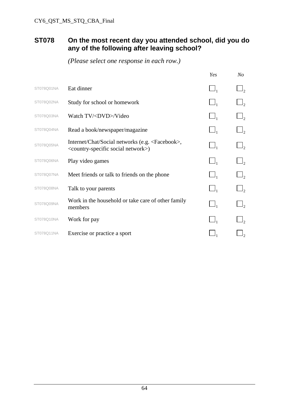#### **ST078 On the most recent day you attended school, did you do any of the following after leaving school?**

|            |                                                                                                                            | Yes      | $N_{O}$        |
|------------|----------------------------------------------------------------------------------------------------------------------------|----------|----------------|
| ST078Q01NA | Eat dinner                                                                                                                 | $\Box_1$ | $\mathsf{I}_2$ |
| ST078Q02NA | Study for school or homework                                                                                               | $\Box_1$ | $\mathsf{I}_2$ |
| ST078Q03NA | Watch TV/ <dvd>/Video</dvd>                                                                                                | $\Box_1$ | $\mathsf{I}_2$ |
| ST078Q04NA | Read a book/newspaper/magazine                                                                                             | $\Box_1$ | $\mathsf{J}_2$ |
| ST078Q05NA | Internet/Chat/Social networks (e.g. <facebook>,<br/><country-specific network="" social="">)</country-specific></facebook> | $\Box_1$ | $J_{2}$        |
| ST078Q06NA | Play video games                                                                                                           | $\Box_1$ | $\mathsf{I}_2$ |
| ST078Q07NA | Meet friends or talk to friends on the phone                                                                               |          | $\mathsf{I}_2$ |
| ST078Q08NA | Talk to your parents                                                                                                       |          | $J_{2}$        |
| ST078Q09NA | Work in the household or take care of other family<br>members                                                              | $\Box_1$ | $\mathsf{I}_2$ |
| ST078Q10NA | Work for pay                                                                                                               |          |                |
| ST078Q11NA | Exercise or practice a sport                                                                                               |          |                |